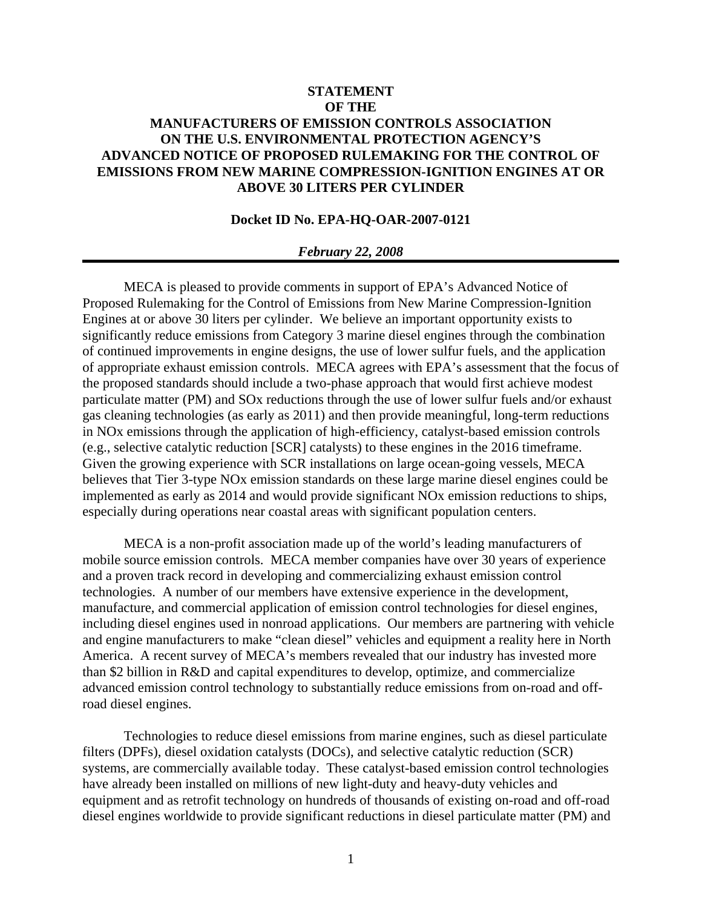# **STATEMENT OF THE MANUFACTURERS OF EMISSION CONTROLS ASSOCIATION ON THE U.S. ENVIRONMENTAL PROTECTION AGENCY'S ADVANCED NOTICE OF PROPOSED RULEMAKING FOR THE CONTROL OF EMISSIONS FROM NEW MARINE COMPRESSION-IGNITION ENGINES AT OR ABOVE 30 LITERS PER CYLINDER**

#### **Docket ID No. EPA-HQ-OAR-2007-0121**

### *February 22, 2008*

MECA is pleased to provide comments in support of EPA's Advanced Notice of Proposed Rulemaking for the Control of Emissions from New Marine Compression-Ignition Engines at or above 30 liters per cylinder. We believe an important opportunity exists to significantly reduce emissions from Category 3 marine diesel engines through the combination of continued improvements in engine designs, the use of lower sulfur fuels, and the application of appropriate exhaust emission controls. MECA agrees with EPA's assessment that the focus of the proposed standards should include a two-phase approach that would first achieve modest particulate matter (PM) and SOx reductions through the use of lower sulfur fuels and/or exhaust gas cleaning technologies (as early as 2011) and then provide meaningful, long-term reductions in NOx emissions through the application of high-efficiency, catalyst-based emission controls (e.g., selective catalytic reduction [SCR] catalysts) to these engines in the 2016 timeframe. Given the growing experience with SCR installations on large ocean-going vessels, MECA believes that Tier 3-type NOx emission standards on these large marine diesel engines could be implemented as early as 2014 and would provide significant NOx emission reductions to ships, especially during operations near coastal areas with significant population centers.

MECA is a non-profit association made up of the world's leading manufacturers of mobile source emission controls. MECA member companies have over 30 years of experience and a proven track record in developing and commercializing exhaust emission control technologies. A number of our members have extensive experience in the development, manufacture, and commercial application of emission control technologies for diesel engines, including diesel engines used in nonroad applications. Our members are partnering with vehicle and engine manufacturers to make "clean diesel" vehicles and equipment a reality here in North America. A recent survey of MECA's members revealed that our industry has invested more than \$2 billion in R&D and capital expenditures to develop, optimize, and commercialize advanced emission control technology to substantially reduce emissions from on-road and offroad diesel engines.

Technologies to reduce diesel emissions from marine engines, such as diesel particulate filters (DPFs), diesel oxidation catalysts (DOCs), and selective catalytic reduction (SCR) systems, are commercially available today. These catalyst-based emission control technologies have already been installed on millions of new light-duty and heavy-duty vehicles and equipment and as retrofit technology on hundreds of thousands of existing on-road and off-road diesel engines worldwide to provide significant reductions in diesel particulate matter (PM) and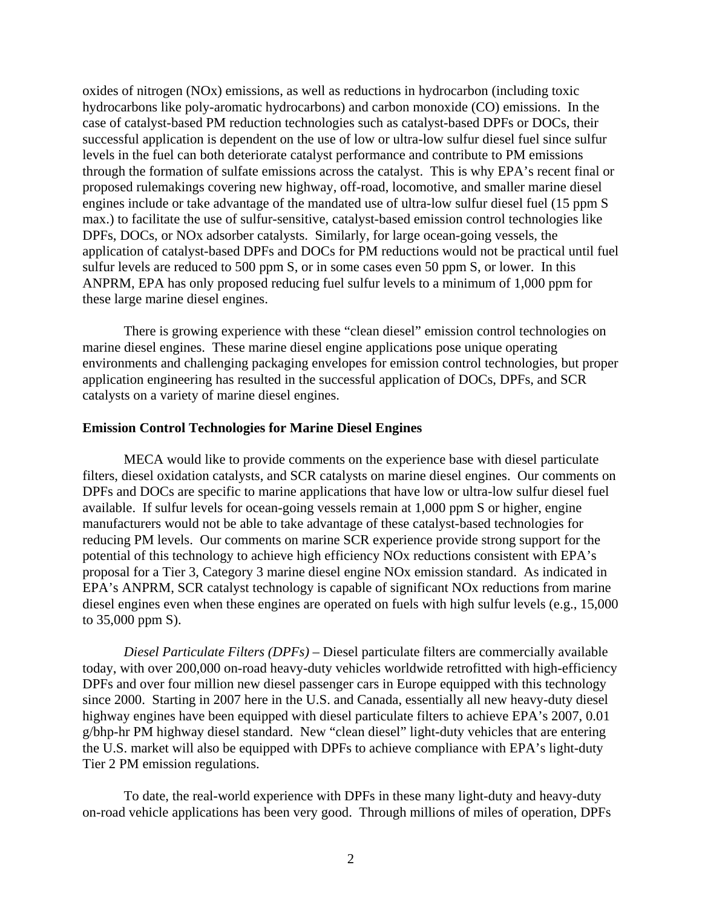oxides of nitrogen (NOx) emissions, as well as reductions in hydrocarbon (including toxic hydrocarbons like poly-aromatic hydrocarbons) and carbon monoxide (CO) emissions. In the case of catalyst-based PM reduction technologies such as catalyst-based DPFs or DOCs, their successful application is dependent on the use of low or ultra-low sulfur diesel fuel since sulfur levels in the fuel can both deteriorate catalyst performance and contribute to PM emissions through the formation of sulfate emissions across the catalyst. This is why EPA's recent final or proposed rulemakings covering new highway, off-road, locomotive, and smaller marine diesel engines include or take advantage of the mandated use of ultra-low sulfur diesel fuel (15 ppm S max.) to facilitate the use of sulfur-sensitive, catalyst-based emission control technologies like DPFs, DOCs, or NOx adsorber catalysts. Similarly, for large ocean-going vessels, the application of catalyst-based DPFs and DOCs for PM reductions would not be practical until fuel sulfur levels are reduced to 500 ppm S, or in some cases even 50 ppm S, or lower. In this ANPRM, EPA has only proposed reducing fuel sulfur levels to a minimum of 1,000 ppm for these large marine diesel engines.

There is growing experience with these "clean diesel" emission control technologies on marine diesel engines. These marine diesel engine applications pose unique operating environments and challenging packaging envelopes for emission control technologies, but proper application engineering has resulted in the successful application of DOCs, DPFs, and SCR catalysts on a variety of marine diesel engines.

### **Emission Control Technologies for Marine Diesel Engines**

MECA would like to provide comments on the experience base with diesel particulate filters, diesel oxidation catalysts, and SCR catalysts on marine diesel engines. Our comments on DPFs and DOCs are specific to marine applications that have low or ultra-low sulfur diesel fuel available. If sulfur levels for ocean-going vessels remain at 1,000 ppm S or higher, engine manufacturers would not be able to take advantage of these catalyst-based technologies for reducing PM levels. Our comments on marine SCR experience provide strong support for the potential of this technology to achieve high efficiency NOx reductions consistent with EPA's proposal for a Tier 3, Category 3 marine diesel engine NOx emission standard. As indicated in EPA's ANPRM, SCR catalyst technology is capable of significant NOx reductions from marine diesel engines even when these engines are operated on fuels with high sulfur levels (e.g., 15,000 to 35,000 ppm S).

*Diesel Particulate Filters (DPFs) –* Diesel particulate filters are commercially available today, with over 200,000 on-road heavy-duty vehicles worldwide retrofitted with high-efficiency DPFs and over four million new diesel passenger cars in Europe equipped with this technology since 2000. Starting in 2007 here in the U.S. and Canada, essentially all new heavy-duty diesel highway engines have been equipped with diesel particulate filters to achieve EPA's 2007, 0.01 g/bhp-hr PM highway diesel standard. New "clean diesel" light-duty vehicles that are entering the U.S. market will also be equipped with DPFs to achieve compliance with EPA's light-duty Tier 2 PM emission regulations.

To date, the real-world experience with DPFs in these many light-duty and heavy-duty on-road vehicle applications has been very good. Through millions of miles of operation, DPFs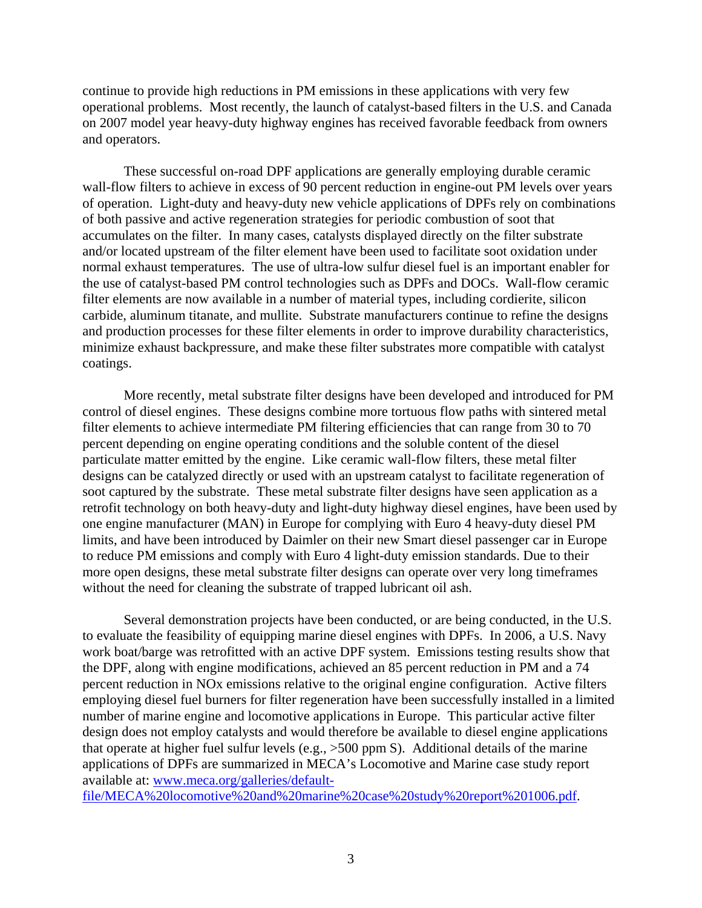continue to provide high reductions in PM emissions in these applications with very few operational problems. Most recently, the launch of catalyst-based filters in the U.S. and Canada on 2007 model year heavy-duty highway engines has received favorable feedback from owners and operators.

These successful on-road DPF applications are generally employing durable ceramic wall-flow filters to achieve in excess of 90 percent reduction in engine-out PM levels over years of operation. Light-duty and heavy-duty new vehicle applications of DPFs rely on combinations of both passive and active regeneration strategies for periodic combustion of soot that accumulates on the filter. In many cases, catalysts displayed directly on the filter substrate and/or located upstream of the filter element have been used to facilitate soot oxidation under normal exhaust temperatures. The use of ultra-low sulfur diesel fuel is an important enabler for the use of catalyst-based PM control technologies such as DPFs and DOCs. Wall-flow ceramic filter elements are now available in a number of material types, including cordierite, silicon carbide, aluminum titanate, and mullite. Substrate manufacturers continue to refine the designs and production processes for these filter elements in order to improve durability characteristics, minimize exhaust backpressure, and make these filter substrates more compatible with catalyst coatings.

More recently, metal substrate filter designs have been developed and introduced for PM control of diesel engines. These designs combine more tortuous flow paths with sintered metal filter elements to achieve intermediate PM filtering efficiencies that can range from 30 to 70 percent depending on engine operating conditions and the soluble content of the diesel particulate matter emitted by the engine. Like ceramic wall-flow filters, these metal filter designs can be catalyzed directly or used with an upstream catalyst to facilitate regeneration of soot captured by the substrate. These metal substrate filter designs have seen application as a retrofit technology on both heavy-duty and light-duty highway diesel engines, have been used by one engine manufacturer (MAN) in Europe for complying with Euro 4 heavy-duty diesel PM limits, and have been introduced by Daimler on their new Smart diesel passenger car in Europe to reduce PM emissions and comply with Euro 4 light-duty emission standards. Due to their more open designs, these metal substrate filter designs can operate over very long timeframes without the need for cleaning the substrate of trapped lubricant oil ash.

Several demonstration projects have been conducted, or are being conducted, in the U.S. to evaluate the feasibility of equipping marine diesel engines with DPFs. In 2006, a U.S. Navy work boat/barge was retrofitted with an active DPF system. Emissions testing results show that the DPF, along with engine modifications, achieved an 85 percent reduction in PM and a 74 percent reduction in NOx emissions relative to the original engine configuration. Active filters employing diesel fuel burners for filter regeneration have been successfully installed in a limited number of marine engine and locomotive applications in Europe. This particular active filter design does not employ catalysts and would therefore be available to diesel engine applications that operate at higher fuel sulfur levels (e.g., >500 ppm S). Additional details of the marine applications of DPFs are summarized in MECA's Locomotive and Marine case study report available at: [www.meca.org/galleries/default-](http://www.meca.org/galleries/default-file/MECA%20locomotive%20and%20marine%20case%20study%20report%201006.pdf)

[file/MECA%20locomotive%20and%20marine%20case%20study%20report%201006.pdf](http://www.meca.org/galleries/default-file/MECA%20locomotive%20and%20marine%20case%20study%20report%201006.pdf).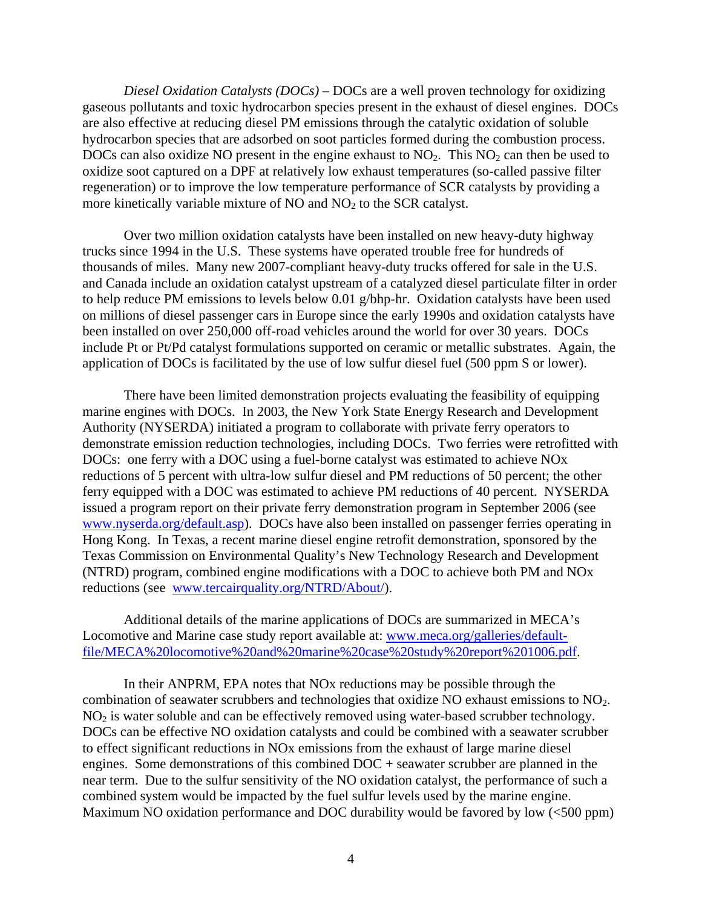*Diesel Oxidation Catalysts (DOCs) –* DOCs are a well proven technology for oxidizing gaseous pollutants and toxic hydrocarbon species present in the exhaust of diesel engines. DOCs are also effective at reducing diesel PM emissions through the catalytic oxidation of soluble hydrocarbon species that are adsorbed on soot particles formed during the combustion process. DOCs can also oxidize NO present in the engine exhaust to  $NO<sub>2</sub>$ . This  $NO<sub>2</sub>$  can then be used to oxidize soot captured on a DPF at relatively low exhaust temperatures (so-called passive filter regeneration) or to improve the low temperature performance of SCR catalysts by providing a more kinetically variable mixture of  $NO$  and  $NO<sub>2</sub>$  to the SCR catalyst.

Over two million oxidation catalysts have been installed on new heavy-duty highway trucks since 1994 in the U.S. These systems have operated trouble free for hundreds of thousands of miles. Many new 2007-compliant heavy-duty trucks offered for sale in the U.S. and Canada include an oxidation catalyst upstream of a catalyzed diesel particulate filter in order to help reduce PM emissions to levels below 0.01 g/bhp-hr. Oxidation catalysts have been used on millions of diesel passenger cars in Europe since the early 1990s and oxidation catalysts have been installed on over 250,000 off-road vehicles around the world for over 30 years. DOCs include Pt or Pt/Pd catalyst formulations supported on ceramic or metallic substrates. Again, the application of DOCs is facilitated by the use of low sulfur diesel fuel (500 ppm S or lower).

There have been limited demonstration projects evaluating the feasibility of equipping marine engines with DOCs. In 2003, the New York State Energy Research and Development Authority (NYSERDA) initiated a program to collaborate with private ferry operators to demonstrate emission reduction technologies, including DOCs. Two ferries were retrofitted with DOCs: one ferry with a DOC using a fuel-borne catalyst was estimated to achieve NOx reductions of 5 percent with ultra-low sulfur diesel and PM reductions of 50 percent; the other ferry equipped with a DOC was estimated to achieve PM reductions of 40 percent. NYSERDA issued a program report on their private ferry demonstration program in September 2006 (see [www.nyserda.org/default.asp](http://www.nyserda.org/default.asp)). DOCs have also been installed on passenger ferries operating in Hong Kong. In Texas, a recent marine diesel engine retrofit demonstration, sponsored by the Texas Commission on Environmental Quality's New Technology Research and Development (NTRD) program, combined engine modifications with a DOC to achieve both PM and NOx reductions (see [www.tercairquality.org/NTRD/About/](http://www.tercairquality.org/NTRD/About/)).

Additional details of the marine applications of DOCs are summarized in MECA's Locomotive and Marine case study report available at: [www.meca.org/galleries/default](http://www.meca.org/galleries/default-file/MECA%20locomotive%20and%20marine%20case%20study%20report%201006.pdf)[file/MECA%20locomotive%20and%20marine%20case%20study%20report%201006.pdf](http://www.meca.org/galleries/default-file/MECA%20locomotive%20and%20marine%20case%20study%20report%201006.pdf).

In their ANPRM, EPA notes that NOx reductions may be possible through the combination of seawater scrubbers and technologies that oxidize NO exhaust emissions to NO2.  $NO<sub>2</sub>$  is water soluble and can be effectively removed using water-based scrubber technology. DOCs can be effective NO oxidation catalysts and could be combined with a seawater scrubber to effect significant reductions in NOx emissions from the exhaust of large marine diesel engines. Some demonstrations of this combined DOC + seawater scrubber are planned in the near term. Due to the sulfur sensitivity of the NO oxidation catalyst, the performance of such a combined system would be impacted by the fuel sulfur levels used by the marine engine. Maximum NO oxidation performance and DOC durability would be favored by low  $\leq 500$  ppm)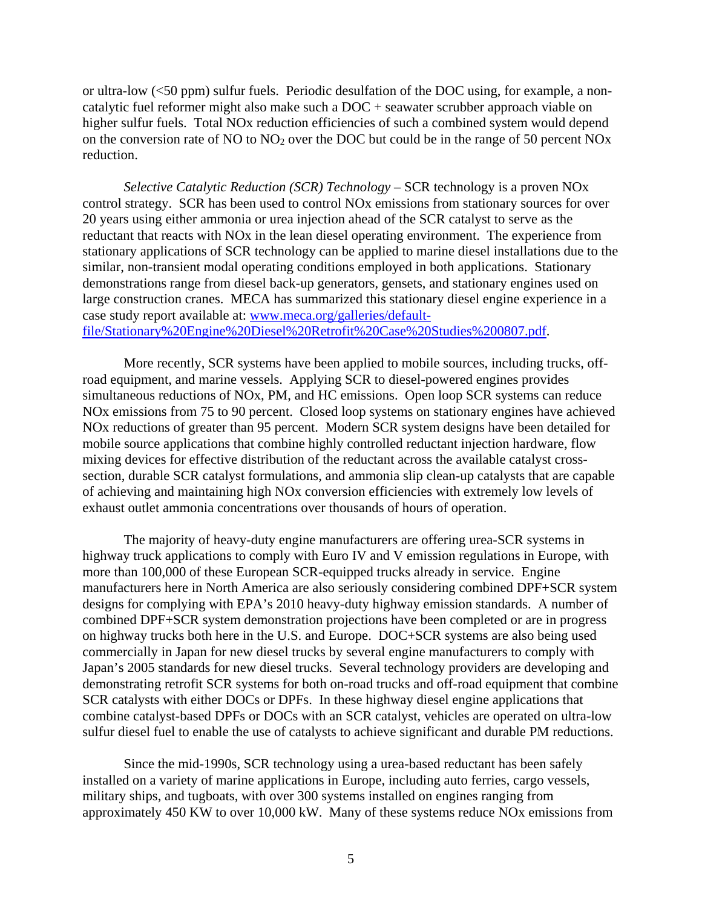or ultra-low (<50 ppm) sulfur fuels. Periodic desulfation of the DOC using, for example, a noncatalytic fuel reformer might also make such a DOC + seawater scrubber approach viable on higher sulfur fuels. Total NOx reduction efficiencies of such a combined system would depend on the conversion rate of NO to  $NO<sub>2</sub>$  over the DOC but could be in the range of 50 percent NOx reduction.

*Selective Catalytic Reduction (SCR) Technology –* SCR technology is a proven NOx control strategy. SCR has been used to control NOx emissions from stationary sources for over 20 years using either ammonia or urea injection ahead of the SCR catalyst to serve as the reductant that reacts with NOx in the lean diesel operating environment. The experience from stationary applications of SCR technology can be applied to marine diesel installations due to the similar, non-transient modal operating conditions employed in both applications. Stationary demonstrations range from diesel back-up generators, gensets, and stationary engines used on large construction cranes. MECA has summarized this stationary diesel engine experience in a case study report available at: [www.meca.org/galleries/default](http://www.meca.org/galleries/default-file/Stationary%20Engine%20Diesel%20Retrofit%20Case%20Studies%200807.pdf)[file/Stationary%20Engine%20Diesel%20Retrofit%20Case%20Studies%200807.pdf.](http://www.meca.org/galleries/default-file/Stationary%20Engine%20Diesel%20Retrofit%20Case%20Studies%200807.pdf)

More recently, SCR systems have been applied to mobile sources, including trucks, offroad equipment, and marine vessels. Applying SCR to diesel-powered engines provides simultaneous reductions of NOx, PM, and HC emissions. Open loop SCR systems can reduce NOx emissions from 75 to 90 percent. Closed loop systems on stationary engines have achieved NOx reductions of greater than 95 percent. Modern SCR system designs have been detailed for mobile source applications that combine highly controlled reductant injection hardware, flow mixing devices for effective distribution of the reductant across the available catalyst crosssection, durable SCR catalyst formulations, and ammonia slip clean-up catalysts that are capable of achieving and maintaining high NOx conversion efficiencies with extremely low levels of exhaust outlet ammonia concentrations over thousands of hours of operation.

The majority of heavy-duty engine manufacturers are offering urea-SCR systems in highway truck applications to comply with Euro IV and V emission regulations in Europe, with more than 100,000 of these European SCR-equipped trucks already in service. Engine manufacturers here in North America are also seriously considering combined DPF+SCR system designs for complying with EPA's 2010 heavy-duty highway emission standards. A number of combined DPF+SCR system demonstration projections have been completed or are in progress on highway trucks both here in the U.S. and Europe. DOC+SCR systems are also being used commercially in Japan for new diesel trucks by several engine manufacturers to comply with Japan's 2005 standards for new diesel trucks. Several technology providers are developing and demonstrating retrofit SCR systems for both on-road trucks and off-road equipment that combine SCR catalysts with either DOCs or DPFs. In these highway diesel engine applications that combine catalyst-based DPFs or DOCs with an SCR catalyst, vehicles are operated on ultra-low sulfur diesel fuel to enable the use of catalysts to achieve significant and durable PM reductions.

 Since the mid-1990s, SCR technology using a urea-based reductant has been safely installed on a variety of marine applications in Europe, including auto ferries, cargo vessels, military ships, and tugboats, with over 300 systems installed on engines ranging from approximately 450 KW to over 10,000 kW. Many of these systems reduce NOx emissions from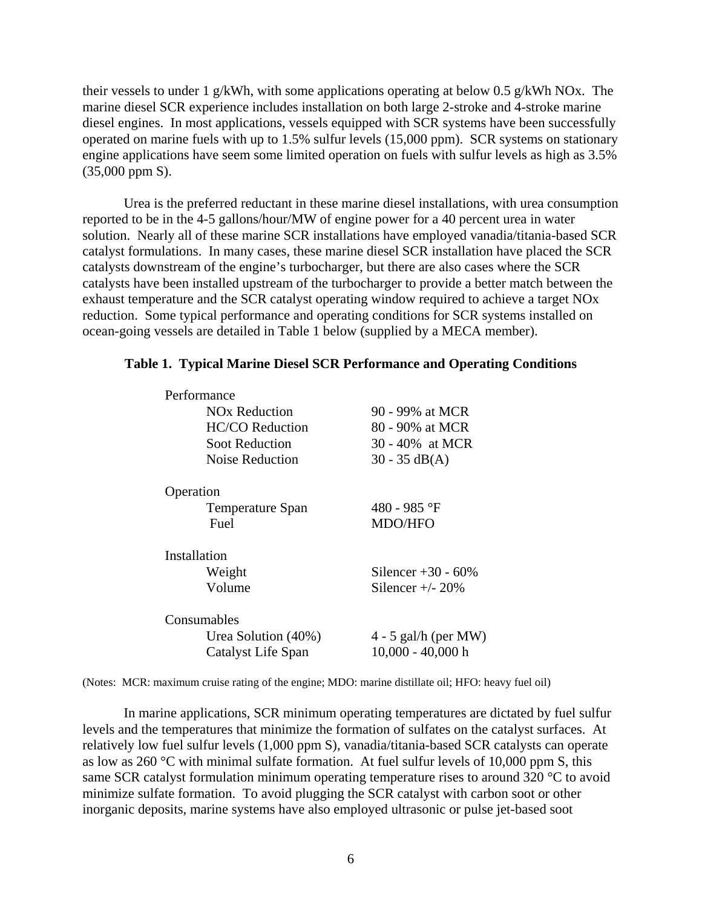their vessels to under 1 g/kWh, with some applications operating at below 0.5 g/kWh NOx. The marine diesel SCR experience includes installation on both large 2-stroke and 4-stroke marine diesel engines. In most applications, vessels equipped with SCR systems have been successfully operated on marine fuels with up to 1.5% sulfur levels (15,000 ppm). SCR systems on stationary engine applications have seem some limited operation on fuels with sulfur levels as high as 3.5% (35,000 ppm S).

Urea is the preferred reductant in these marine diesel installations, with urea consumption reported to be in the 4-5 gallons/hour/MW of engine power for a 40 percent urea in water solution. Nearly all of these marine SCR installations have employed vanadia/titania-based SCR catalyst formulations. In many cases, these marine diesel SCR installation have placed the SCR catalysts downstream of the engine's turbocharger, but there are also cases where the SCR catalysts have been installed upstream of the turbocharger to provide a better match between the exhaust temperature and the SCR catalyst operating window required to achieve a target NOx reduction. Some typical performance and operating conditions for SCR systems installed on ocean-going vessels are detailed in Table 1 below (supplied by a MECA member).

## **Table 1. Typical Marine Diesel SCR Performance and Operating Conditions**

| Performance  |                           |                        |
|--------------|---------------------------|------------------------|
|              | NO <sub>x</sub> Reduction | 90 - 99% at MCR        |
|              | <b>HC/CO</b> Reduction    | 80 - 90% at MCR        |
|              | Soot Reduction            | 30 - 40% at MCR        |
|              | Noise Reduction           | $30 - 35$ dB(A)        |
| Operation    |                           |                        |
|              | Temperature Span          | 480 - 985 °F           |
|              | Fuel                      | <b>MDO/HFO</b>         |
| Installation |                           |                        |
|              | Weight                    | Silencer $+30 - 60\%$  |
|              | Volume                    | Silencer $+/- 20\%$    |
|              | Consumables               |                        |
|              | Urea Solution (40%)       | $4 - 5$ gal/h (per MW) |
|              | Catalyst Life Span        | $10,000 - 40,000$ h    |

(Notes: MCR: maximum cruise rating of the engine; MDO: marine distillate oil; HFO: heavy fuel oil)

In marine applications, SCR minimum operating temperatures are dictated by fuel sulfur levels and the temperatures that minimize the formation of sulfates on the catalyst surfaces. At relatively low fuel sulfur levels (1,000 ppm S), vanadia/titania-based SCR catalysts can operate as low as 260  $\degree$ C with minimal sulfate formation. At fuel sulfur levels of 10,000 ppm S, this same SCR catalyst formulation minimum operating temperature rises to around 320 °C to avoid minimize sulfate formation. To avoid plugging the SCR catalyst with carbon soot or other inorganic deposits, marine systems have also employed ultrasonic or pulse jet-based soot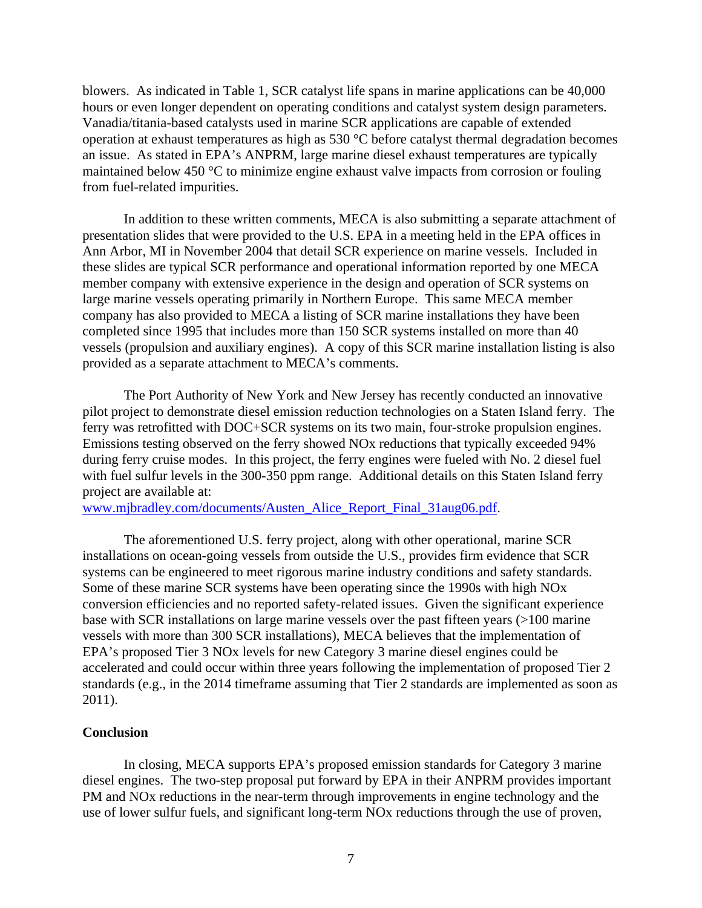blowers. As indicated in Table 1, SCR catalyst life spans in marine applications can be 40,000 hours or even longer dependent on operating conditions and catalyst system design parameters. Vanadia/titania-based catalysts used in marine SCR applications are capable of extended operation at exhaust temperatures as high as 530 °C before catalyst thermal degradation becomes an issue. As stated in EPA's ANPRM, large marine diesel exhaust temperatures are typically maintained below 450 °C to minimize engine exhaust valve impacts from corrosion or fouling from fuel-related impurities.

In addition to these written comments, MECA is also submitting a separate attachment of presentation slides that were provided to the U.S. EPA in a meeting held in the EPA offices in Ann Arbor, MI in November 2004 that detail SCR experience on marine vessels. Included in these slides are typical SCR performance and operational information reported by one MECA member company with extensive experience in the design and operation of SCR systems on large marine vessels operating primarily in Northern Europe. This same MECA member company has also provided to MECA a listing of SCR marine installations they have been completed since 1995 that includes more than 150 SCR systems installed on more than 40 vessels (propulsion and auxiliary engines). A copy of this SCR marine installation listing is also provided as a separate attachment to MECA's comments.

The Port Authority of New York and New Jersey has recently conducted an innovative pilot project to demonstrate diesel emission reduction technologies on a Staten Island ferry. The ferry was retrofitted with DOC+SCR systems on its two main, four-stroke propulsion engines. Emissions testing observed on the ferry showed NOx reductions that typically exceeded 94% during ferry cruise modes. In this project, the ferry engines were fueled with No. 2 diesel fuel with fuel sulfur levels in the 300-350 ppm range. Additional details on this Staten Island ferry project are available at:

[www.mjbradley.com/documents/Austen\\_Alice\\_Report\\_Final\\_31aug06.pdf.](http://www.mjbradley.com/documents/Austen_Alice_Report_Final_31aug06.pdf)

The aforementioned U.S. ferry project, along with other operational, marine SCR installations on ocean-going vessels from outside the U.S., provides firm evidence that SCR systems can be engineered to meet rigorous marine industry conditions and safety standards. Some of these marine SCR systems have been operating since the 1990s with high NOx conversion efficiencies and no reported safety-related issues. Given the significant experience base with SCR installations on large marine vessels over the past fifteen years (>100 marine vessels with more than 300 SCR installations), MECA believes that the implementation of EPA's proposed Tier 3 NOx levels for new Category 3 marine diesel engines could be accelerated and could occur within three years following the implementation of proposed Tier 2 standards (e.g., in the 2014 timeframe assuming that Tier 2 standards are implemented as soon as 2011).

### **Conclusion**

In closing, MECA supports EPA's proposed emission standards for Category 3 marine diesel engines. The two-step proposal put forward by EPA in their ANPRM provides important PM and NOx reductions in the near-term through improvements in engine technology and the use of lower sulfur fuels, and significant long-term NOx reductions through the use of proven,